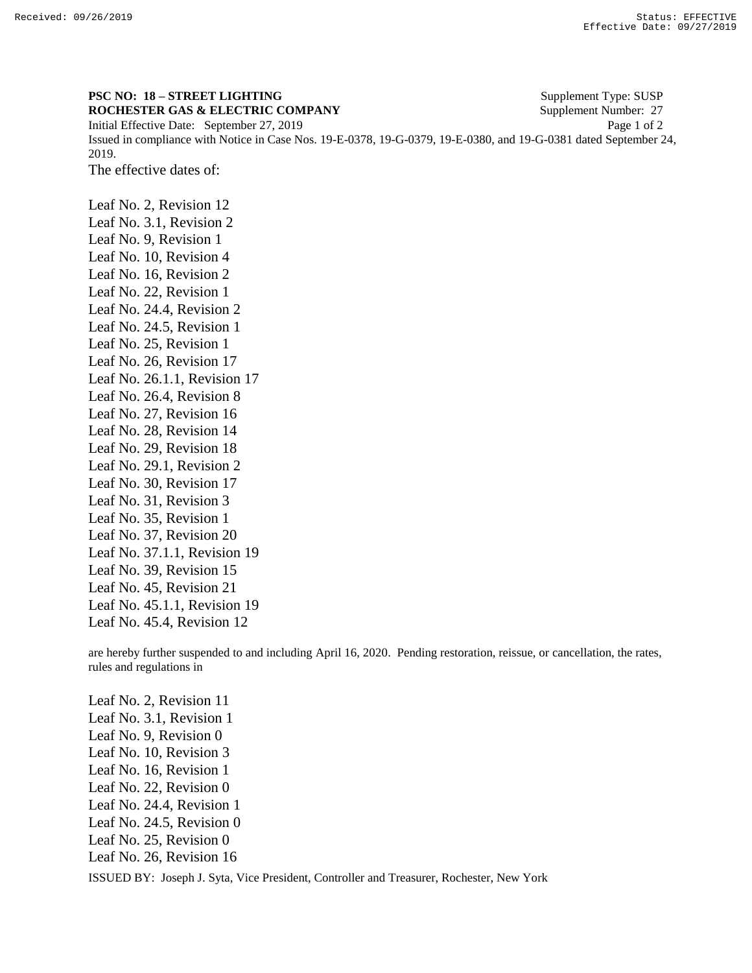## **PSC NO: 18 – STREET LIGHTING** Supplement Type: SUSP **ROCHESTER GAS & ELECTRIC COMPANY** Supplement Number: 27

Initial Effective Date: September 27, 2019 Page 1 of 2 Issued in compliance with Notice in Case Nos. 19-E-0378, 19-G-0379, 19-E-0380, and 19-G-0381 dated September 24, 2019.

The effective dates of:

Leaf No. 2, Revision 12 Leaf No. 3.1, Revision 2 Leaf No. 9, Revision 1 Leaf No. 10, Revision 4 Leaf No. 16, Revision 2 Leaf No. 22, Revision 1 Leaf No. 24.4, Revision 2 Leaf No. 24.5, Revision 1 Leaf No. 25, Revision 1 Leaf No. 26, Revision 17 Leaf No. 26.1.1, Revision 17 Leaf No. 26.4, Revision 8 Leaf No. 27, Revision 16 Leaf No. 28, Revision 14 Leaf No. 29, Revision 18 Leaf No. 29.1, Revision 2 Leaf No. 30, Revision 17 Leaf No. 31, Revision 3 Leaf No. 35, Revision 1 Leaf No. 37, Revision 20 Leaf No. 37.1.1, Revision 19 Leaf No. 39, Revision 15 Leaf No. 45, Revision 21 Leaf No. 45.1.1, Revision 19 Leaf No. 45.4, Revision 12

are hereby further suspended to and including April 16, 2020. Pending restoration, reissue, or cancellation, the rates, rules and regulations in

ISSUED BY: Joseph J. Syta, Vice President, Controller and Treasurer, Rochester, New York Leaf No. 2, Revision 11 Leaf No. 3.1, Revision 1 Leaf No. 9, Revision 0 Leaf No. 10, Revision 3 Leaf No. 16, Revision 1 Leaf No. 22, Revision 0 Leaf No. 24.4, Revision 1 Leaf No. 24.5, Revision 0 Leaf No. 25, Revision 0 Leaf No. 26, Revision 16